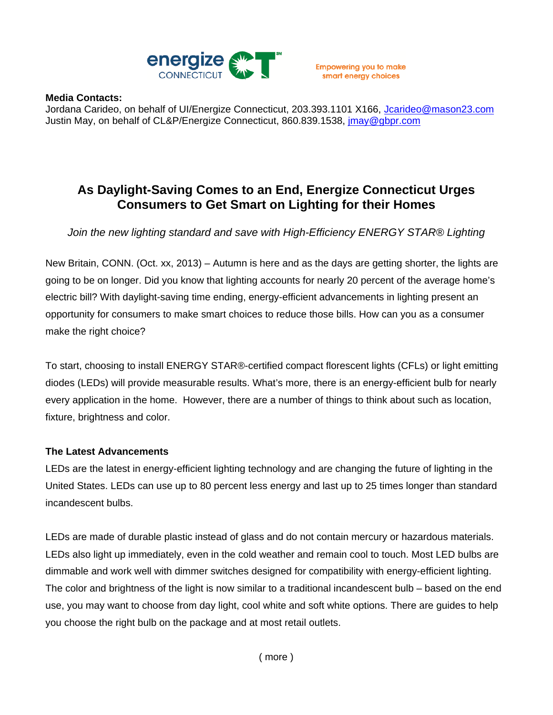

## **Media Contacts:**

Jordana Carideo, on behalf of UI/Energize Connecticut, 203.393.1101 X166, Jcarideo@mason23.com Justin May, on behalf of CL&P/Energize Connecticut, 860.839.1538, jmay@gbpr.com

## **As Daylight-Saving Comes to an End, Energize Connecticut Urges Consumers to Get Smart on Lighting for their Homes**

*Join the new lighting standard and save with High-Efficiency ENERGY STAR® Lighting*

New Britain, CONN. (Oct. xx, 2013) – Autumn is here and as the days are getting shorter, the lights are going to be on longer. Did you know that lighting accounts for nearly 20 percent of the average home's electric bill? With daylight-saving time ending, energy-efficient advancements in lighting present an opportunity for consumers to make smart choices to reduce those bills. How can you as a consumer make the right choice?

To start, choosing to install ENERGY STAR®-certified compact florescent lights (CFLs) or light emitting diodes (LEDs) will provide measurable results. What's more, there is an energy-efficient bulb for nearly every application in the home. However, there are a number of things to think about such as location, fixture, brightness and color.

## **The Latest Advancements**

LEDs are the latest in energy-efficient lighting technology and are changing the future of lighting in the United States. LEDs can use up to 80 percent less energy and last up to 25 times longer than standard incandescent bulbs.

LEDs are made of durable plastic instead of glass and do not contain mercury or hazardous materials. LEDs also light up immediately, even in the cold weather and remain cool to touch. Most LED bulbs are dimmable and work well with dimmer switches designed for compatibility with energy-efficient lighting. The color and brightness of the light is now similar to a traditional incandescent bulb – based on the end use, you may want to choose from day light, cool white and soft white options. There are guides to help you choose the right bulb on the package and at most retail outlets.